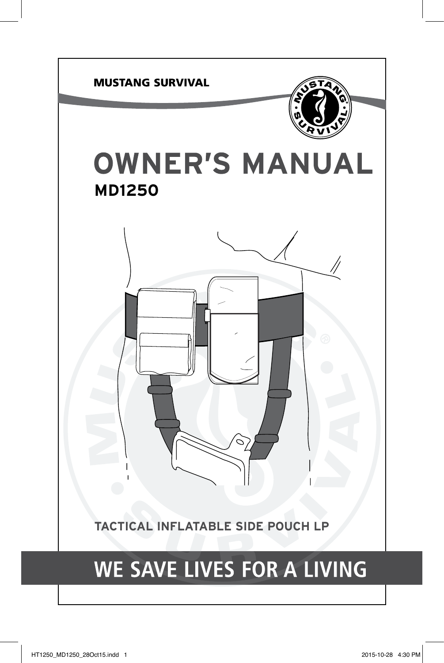

# WE SAVE LIVES FOR A LIVING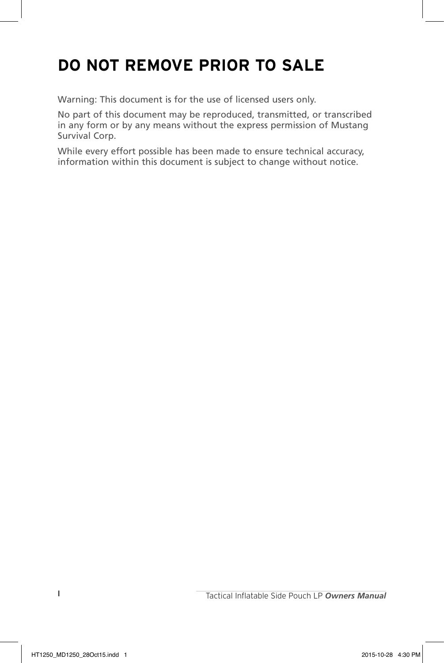# **DO NOT REMOVE PRIOR TO SALE**

Warning: This document is for the use of licensed users only.

No part of this document may be reproduced, transmitted, or transcribed in any form or by any means without the express permission of Mustang Survival Corp.

While every effort possible has been made to ensure technical accuracy, information within this document is subject to change without notice.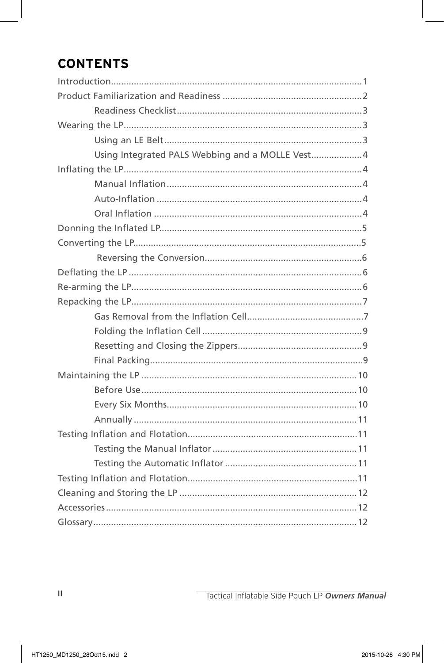# **CONTENTS**

| Using Integrated PALS Webbing and a MOLLE Vest4 |  |  |
|-------------------------------------------------|--|--|
|                                                 |  |  |
|                                                 |  |  |
|                                                 |  |  |
|                                                 |  |  |
|                                                 |  |  |
|                                                 |  |  |
|                                                 |  |  |
|                                                 |  |  |
|                                                 |  |  |
|                                                 |  |  |
|                                                 |  |  |
|                                                 |  |  |
|                                                 |  |  |
|                                                 |  |  |
|                                                 |  |  |
|                                                 |  |  |
|                                                 |  |  |
|                                                 |  |  |
|                                                 |  |  |
|                                                 |  |  |
|                                                 |  |  |
|                                                 |  |  |
|                                                 |  |  |
|                                                 |  |  |
|                                                 |  |  |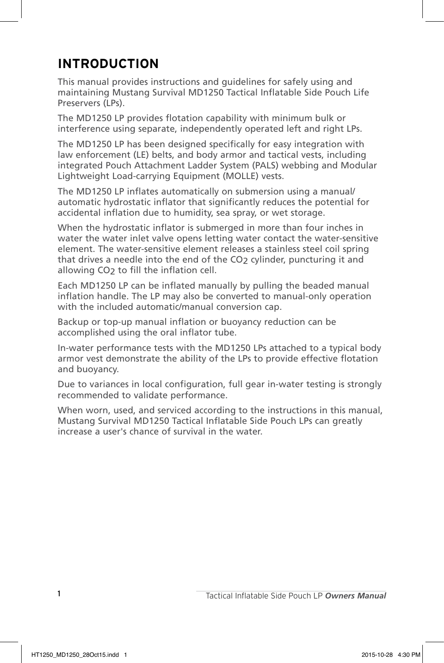#### **INTRODUCTION**

This manual provides instructions and guidelines for safely using and maintaining Mustang Survival MD1250 Tactical Inflatable Side Pouch Life Preservers (LPs).

The MD1250 LP provides flotation capability with minimum bulk or interference using separate, independently operated left and right LPs.

The MD1250 LP has been designed specifically for easy integration with law enforcement (LE) belts, and body armor and tactical vests, including integrated Pouch Attachment Ladder System (PALS) webbing and Modular Lightweight Load-carrying Equipment (MOLLE) vests.

The MD1250 LP inflates automatically on submersion using a manual/ automatic hydrostatic inflator that significantly reduces the potential for accidental inflation due to humidity, sea spray, or wet storage.

When the hydrostatic inflator is submerged in more than four inches in water the water inlet valve opens letting water contact the water-sensitive element. The water-sensitive element releases a stainless steel coil spring that drives a needle into the end of the CO2 cylinder, puncturing it and allowing CO2 to fill the inflation cell.

Each MD1250 LP can be inflated manually by pulling the beaded manual inflation handle. The LP may also be converted to manual-only operation with the included automatic/manual conversion cap.

Backup or top-up manual inflation or buoyancy reduction can be accomplished using the oral inflator tube.

In-water performance tests with the MD1250 LPs attached to a typical body armor vest demonstrate the ability of the LPs to provide effective flotation and buoyancy.

Due to variances in local configuration, full gear in-water testing is strongly recommended to validate performance.

When worn, used, and serviced according to the instructions in this manual, Mustang Survival MD1250 Tactical Inflatable Side Pouch LPs can greatly increase a user's chance of survival in the water.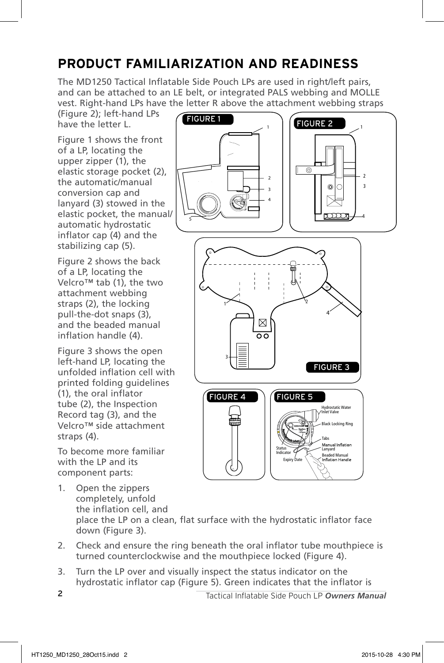## **PRODUCT FAMILIARIZATION AND READINESS**

The MD1250 Tactical Inflatable Side Pouch LPs are used in right/left pairs, and can be attached to an LE belt, or integrated PALS webbing and MOLLE vest. Right-hand LPs have the letter R above the attachment webbing straps

(Figure 2); left-hand LPs have the letter L.

Figure 1 shows the front of a LP, locating the upper zipper (1), the elastic storage pocket (2), the automatic/manual conversion cap and lanyard (3) stowed in the elastic pocket, the manual/ automatic hydrostatic inflator cap (4) and the stabilizing cap (5).

Figure 2 shows the back of a LP, locating the Velcro™ tab (1), the two attachment webbing straps (2), the locking pull-the-dot snaps (3), and the beaded manual inflation handle (4).

Figure 3 shows the open left-hand LP, locating the unfolded inflation cell with printed folding guidelines (1), the oral inflator tube (2), the Inspection Record tag (3), and the Velcro™ side attachment straps (4).

To become more familiar with the LP and its component parts:

- 1. Open the zippers completely, unfold the inflation cell, and place the LP on a clean, flat surface with the hydrostatic inflator face down (Figure 3).
- 2. Check and ensure the ring beneath the oral inflator tube mouthpiece is turned counterclockwise and the mouthpiece locked (Figure 4).
- 3. Turn the LP over and visually inspect the status indicator on the hydrostatic inflator cap (Figure 5). Green indicates that the inflator is

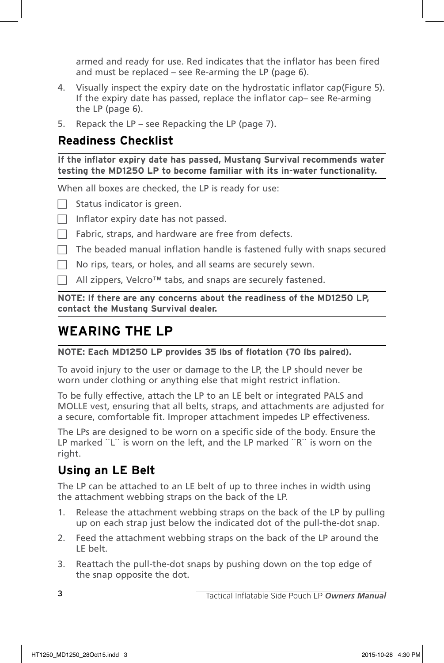armed and ready for use. Red indicates that the inflator has been fired and must be replaced – see Re-arming the LP (page 6).

- 4. Visually inspect the expiry date on the hydrostatic inflator cap(Figure 5). If the expiry date has passed, replace the inflator cap– see Re-arming the LP (page 6).
- 5. Repack the LP see Repacking the LP (page 7).

#### **Readiness Checklist**

**If the inflator expiry date has passed, Mustang Survival recommends water testing the MD1250 LP to become familiar with its in-water functionality.**

When all boxes are checked, the LP is ready for use:

 $\Box$  Status indicator is green.

- Inflator expiry date has not passed.
- Fabric, straps, and hardware are free from defects.
- The beaded manual inflation handle is fastened fully with snaps secured
- No rips, tears, or holes, and all seams are securely sewn.

 $□$  All zippers, Velcro™ tabs, and snaps are securely fastened.

**NOTE: If there are any concerns about the readiness of the MD1250 LP, contact the Mustang Survival dealer.**

#### **WEARING THE LP**

**NOTE: Each MD1250 LP provides 35 lbs of flotation (70 lbs paired).**

To avoid injury to the user or damage to the LP, the LP should never be worn under clothing or anything else that might restrict inflation.

To be fully effective, attach the LP to an LE belt or integrated PALS and MOLLE vest, ensuring that all belts, straps, and attachments are adjusted for a secure, comfortable fit. Improper attachment impedes LP effectiveness.

The LPs are designed to be worn on a specific side of the body. Ensure the LP marked "L" is worn on the left, and the LP marked "R" is worn on the right.

#### **Using an LE Belt**

The LP can be attached to an LE belt of up to three inches in width using the attachment webbing straps on the back of the LP.

- 1. Release the attachment webbing straps on the back of the LP by pulling up on each strap just below the indicated dot of the pull-the-dot snap.
- 2. Feed the attachment webbing straps on the back of the LP around the LE belt.
- 3. Reattach the pull-the-dot snaps by pushing down on the top edge of the snap opposite the dot.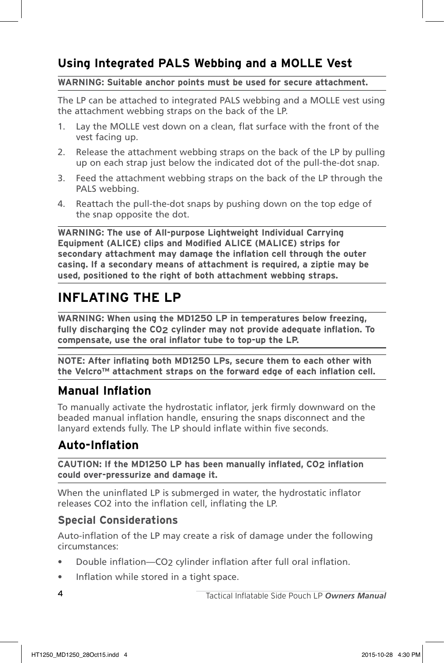#### **Using Integrated PALS Webbing and a MOLLE Vest**

#### **WARNING: Suitable anchor points must be used for secure attachment.**

The LP can be attached to integrated PALS webbing and a MOLLE vest using the attachment webbing straps on the back of the LP.

- 1. Lay the MOLLE vest down on a clean, flat surface with the front of the vest facing up.
- 2. Release the attachment webbing straps on the back of the LP by pulling up on each strap just below the indicated dot of the pull-the-dot snap.
- 3. Feed the attachment webbing straps on the back of the LP through the PALS webbing.
- 4. Reattach the pull-the-dot snaps by pushing down on the top edge of the snap opposite the dot.

**WARNING: The use of All-purpose Lightweight Individual Carrying Equipment (ALICE) clips and Modified ALICE (MALICE) strips for secondary attachment may damage the inflation cell through the outer casing. If a secondary means of attachment is required, a ziptie may be used, positioned to the right of both attachment webbing straps.**

#### **INFLATING THE LP**

**WARNING: When using the MD1250 LP in temperatures below freezing, fully discharging the CO2 cylinder may not provide adequate inflation. To compensate, use the oral inflator tube to top-up the LP.**

**NOTE: After inflating both MD1250 LPs, secure them to each other with the Velcro™ attachment straps on the forward edge of each inflation cell.**

#### **Manual Inflation**

To manually activate the hydrostatic inflator, jerk firmly downward on the beaded manual inflation handle, ensuring the snaps disconnect and the lanyard extends fully. The LP should inflate within five seconds.

#### **Auto-Inflation**

**CAUTION: If the MD1250 LP has been manually inflated, CO2 inflation could over-pressurize and damage it.**

When the uninflated LP is submerged in water, the hydrostatic inflator releases CO2 into the inflation cell, inflating the LP.

#### **Special Considerations**

Auto-inflation of the LP may create a risk of damage under the following circumstances:

- Double inflation—CO2 cylinder inflation after full oral inflation.
- Inflation while stored in a tight space.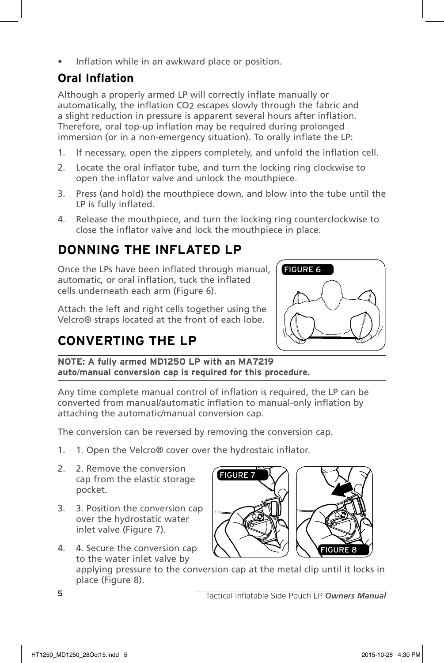Inflation while in an awkward place or position.

#### **Oral Inflation**

Although a properly armed LP will correctly inflate manually or automatically, the inflation CO2 escapes slowly through the fabric and a slight reduction in pressure is apparent several hours after inflation. Therefore, oral top-up inflation may be required during prolonged immersion (or in a non-emergency situation). To orally inflate the LP:

- 1. If necessary, open the zippers completely, and unfold the inflation cell.
- 2. Locate the oral inflator tube, and turn the locking ring clockwise to open the inflator valve and unlock the mouthpiece.
- 3. Press (and hold) the mouthpiece down, and blow into the tube until the LP is fully inflated.
- 4. Release the mouthpiece, and turn the locking ring counterclockwise to close the inflator valve and lock the mouthpiece in place.

## **DONNING THE INFLATED LP**

Once the LPs have been inflated through manual, automatic, or oral inflation, tuck the inflated cells underneath each arm (Figure 6).

Attach the left and right cells together using the Velcro® straps located at the front of each lobe.

# **CONVERTING THE LP**



**NOTE: A fully armed MD1250 LP with an MA7219 auto**/**manual conversion cap is required for this procedure.**

Any time complete manual control of inflation is required, the LP can be converted from manual/automatic inflation to manual-only inflation by attaching the automatic/manual conversion cap.

The conversion can be reversed by removing the conversion cap.

- 1. 1. Open the Velcro® cover over the hydrostaic inflator.
- 2. 2. Remove the conversion cap from the elastic storage pocket.
- 3. 3. Position the conversion cap over the hydrostatic water inlet valve (Figure 7).
- 4. 4. Secure the conversion cap to the water inlet valve by



applying pressure to the conversion cap at the metal clip until it locks in place (Figure 8).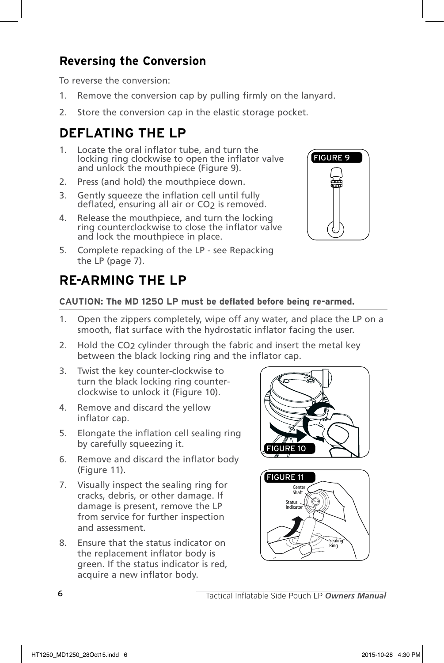#### **Reversing the Conversion**

To reverse the conversion:

- 1. Remove the conversion cap by pulling firmly on the lanyard.
- 2. Store the conversion cap in the elastic storage pocket.

#### **DEFLATING THE LP**

- 1. Locate the oral inflator tube, and turn the locking ring clockwise to open the inflator valve and unlock the mouthpiece (Figure 9).
- 2. Press (and hold) the mouthpiece down.
- 3. Gently squeeze the inflation cell until fully deflated, ensuring all air or CO<sub>2</sub> is removed.
- 4. Release the mouthpiece, and turn the locking ring counterclockwise to close the inflator valve and lock the mouthpiece in place.
- 5. Complete repacking of the LP see Repacking the LP (page 7).



## **RE-ARMING THE LP**

#### **CAUTION: The MD 1250 LP must be deflated before being re-armed.**

- 1. Open the zippers completely, wipe off any water, and place the LP on a smooth, flat surface with the hydrostatic inflator facing the user.
- 2. Hold the CO<sub>2</sub> cylinder through the fabric and insert the metal key between the black locking ring and the inflator cap.
- 3. Twist the key counter-clockwise to turn the black locking ring counterclockwise to unlock it (Figure 10).
- 4. Remove and discard the yellow inflator cap.
- 5. Elongate the inflation cell sealing ring by carefully squeezing it.
- 6. Remove and discard the inflator body (Figure 11).
- 7. Visually inspect the sealing ring for cracks, debris, or other damage. If damage is present, remove the LP from service for further inspection and assessment.
- 8. Ensure that the status indicator on the replacement inflator body is green. If the status indicator is red, acquire a new inflator body.



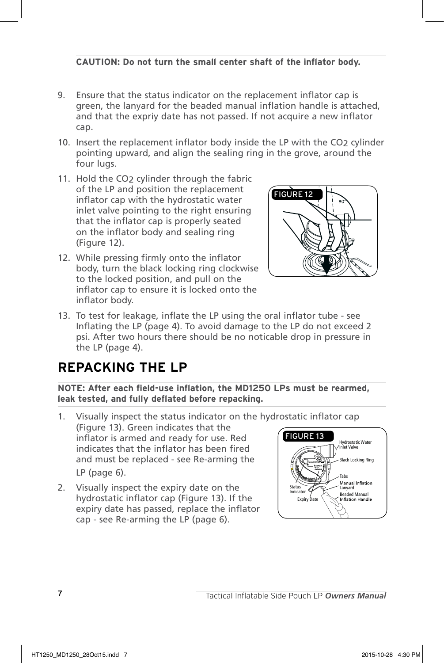#### **CAUTION: Do not turn the small center shaft of the inflator body.**

- 9. Ensure that the status indicator on the replacement inflator cap is green, the lanyard for the beaded manual inflation handle is attached, and that the expriy date has not passed. If not acquire a new inflator cap.
- 10. Insert the replacement inflator body inside the LP with the CO2 cylinder pointing upward, and align the sealing ring in the grove, around the four lugs.
- 11. Hold the CO2 cylinder through the fabric of the LP and position the replacement inflator cap with the hydrostatic water inlet valve pointing to the right ensuring that the inflator cap is properly seated on the inflator body and sealing ring (Figure 12).
- 12. While pressing firmly onto the inflator body, turn the black locking ring clockwise to the locked position, and pull on the inflator cap to ensure it is locked onto the inflator body.



13. To test for leakage, inflate the LP using the oral inflator tube - see Inflating the LP (page 4). To avoid damage to the LP do not exceed 2 psi. After two hours there should be no noticable drop in pressure in the LP (page 4).

#### **REPACKING THE LP**

**NOTE: After each field-use inflation, the MD1250 LPs must be rearmed, leak tested, and fully deflated before repacking.**

- 1. Visually inspect the status indicator on the hydrostatic inflator cap (Figure 13). Green indicates that the inflator is armed and ready for use. Red indicates that the inflator has been fired and must be replaced - see Re-arming the LP (page 6). Tabs FiGURE 13
- 2. Visually inspect the expiry date on the hydrostatic inflator cap (Figure 13). If the expiry date has passed, replace the inflator cap - see Re-arming the LP (page 6).

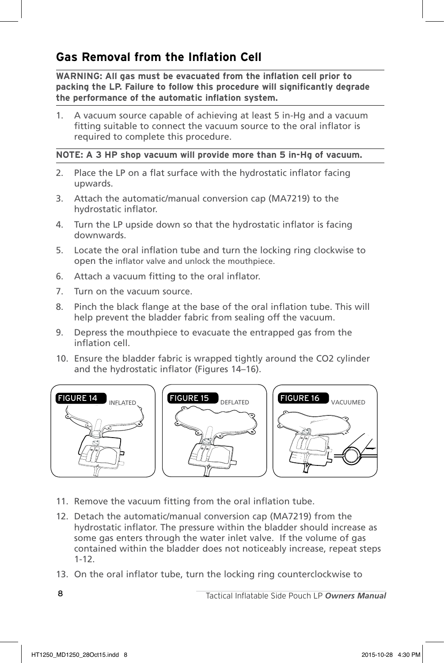#### **Gas Removal from the Inflation Cell**

**WARNING: All gas must be evacuated from the inflation cell prior to packing the LP. Failure to follow this procedure will significantly degrade the performance of the automatic inflation system.** 

1. A vacuum source capable of achieving at least 5 in-Hg and a vacuum fitting suitable to connect the vacuum source to the oral inflator is required to complete this procedure.

#### **NOTE: A 3 HP shop vacuum will provide more than 5 in-Hg of vacuum.**

- 2. Place the LP on a flat surface with the hydrostatic inflator facing upwards.
- 3. Attach the automatic/manual conversion cap (MA7219) to the hydrostatic inflator.
- 4. Turn the LP upside down so that the hydrostatic inflator is facing downwards.
- 5. Locate the oral inflation tube and turn the locking ring clockwise to open the inflator valve and unlock the mouthpiece.
- 6. Attach a vacuum fitting to the oral inflator.
- 7. Turn on the vacuum source.
- 8. Pinch the black flange at the base of the oral inflation tube. This will help prevent the bladder fabric from sealing off the vacuum.
- 9. Depress the mouthpiece to evacuate the entrapped gas from the inflation cell.
- 10. Ensure the bladder fabric is wrapped tightly around the CO2 cylinder and the hydrostatic inflator (Figures 14–16).



- 11. Remove the vacuum fitting from the oral inflation tube.
- 12. Detach the automatic/manual conversion cap (MA7219) from the hydrostatic inflator. The pressure within the bladder should increase as some gas enters through the water inlet valve. If the volume of gas contained within the bladder does not noticeably increase, repeat steps 1-12.
- 13. On the oral inflator tube, turn the locking ring counterclockwise to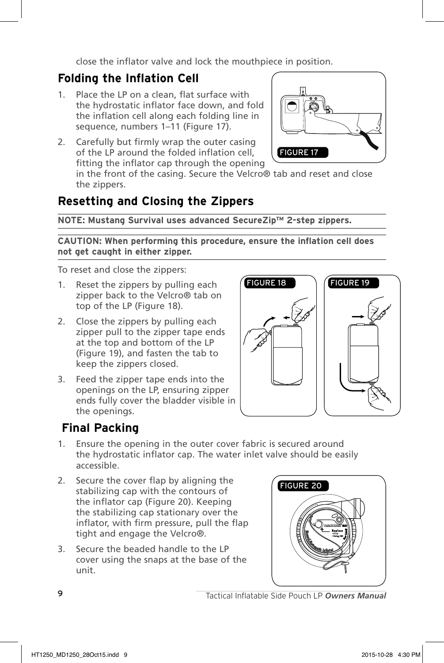close the inflator valve and lock the mouthpiece in position.

#### **Folding the Inflation Cell**

- 1. Place the LP on a clean, flat surface with the hydrostatic inflator face down, and fold the inflation cell along each folding line in sequence, numbers 1–11 (Figure 17).
- 2. Carefully but firmly wrap the outer casing of the LP around the folded inflation cell, fitting the inflator cap through the opening



in the front of the casing. Secure the Velcro® tab and reset and close the zippers.

#### **Resetting and Closing the Zippers**

**NOTE: Mustang Survival uses advanced SecureZip™ 2-step zippers.**

**CAUTION: When performing this procedure, ensure the inflation cell does not get caught in either zipper.**

To reset and close the zippers:

- 1. Reset the zippers by pulling each zipper back to the Velcro® tab on top of the LP (Figure 18).
- 2. Close the zippers by pulling each zipper pull to the zipper tape ends at the top and bottom of the LP (Figure 19), and fasten the tab to keep the zippers closed.
- 3. Feed the zipper tape ends into the openings on the LP, ensuring zipper ends fully cover the bladder visible in the openings.



#### **Final Packing**

- 1. Ensure the opening in the outer cover fabric is secured around the hydrostatic inflator cap. The water inlet valve should be easily accessible.
- 2. Secure the cover flap by aligning the stabilizing cap with the contours of the inflator cap (Figure 20). Keeping the stabilizing cap stationary over the inflator, with firm pressure, pull the flap tight and engage the Velcro®.
- 3. Secure the beaded handle to the LP cover using the snaps at the base of the unit.

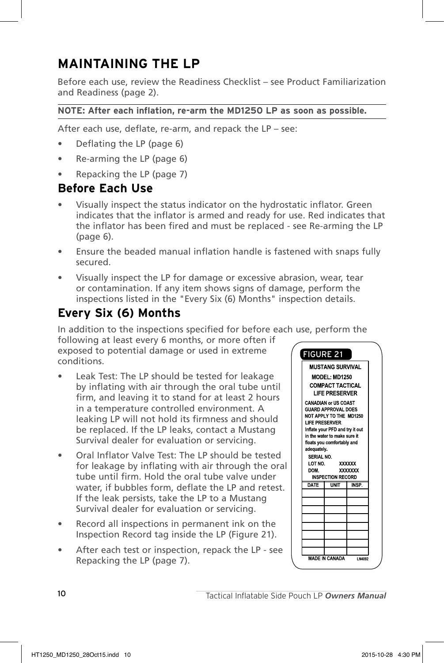#### **MAINTAINING THE LP**

Before each use, review the Readiness Checklist – see Product Familiarization and Readiness (page 2).

#### **NOTE: After each inflation, re-arm the MD1250 LP as soon as possible.**

After each use, deflate, re-arm, and repack the LP – see:

- Deflating the LP (page 6)
- Re-arming the LP (page 6)
- Repacking the LP (page 7)

#### **Before Each Use**

- Visually inspect the status indicator on the hydrostatic inflator. Green indicates that the inflator is armed and ready for use. Red indicates that the inflator has been fired and must be replaced - see Re-arming the LP (page 6).
- Ensure the beaded manual inflation handle is fastened with snaps fully secured.
- Visually inspect the LP for damage or excessive abrasion, wear, tear or contamination. If any item shows signs of damage, perform the inspections listed in the "Every Six (6) Months" inspection details.

#### **Every Six (6) Months**

In addition to the inspections specified for before each use, perform the

following at least every 6 months, or more often if exposed to potential damage or used in extreme conditions.

- Leak Test: The LP should be tested for leakage by inflating with air through the oral tube until firm, and leaving it to stand for at least 2 hours in a temperature controlled environment. A leaking LP will not hold its firmness and should be replaced. If the LP leaks, contact a Mustang Survival dealer for evaluation or servicing.
- Oral Inflator Valve Test: The LP should be tested for leakage by inflating with air through the oral tube until firm. Hold the oral tube valve under water, if bubbles form, deflate the LP and retest. If the leak persists, take the LP to a Mustang Survival dealer for evaluation or servicing.
- Record all inspections in permanent ink on the Inspection Record tag inside the LP (Figure 21).
- After each test or inspection, repack the LP see Repacking the LP (page 7).

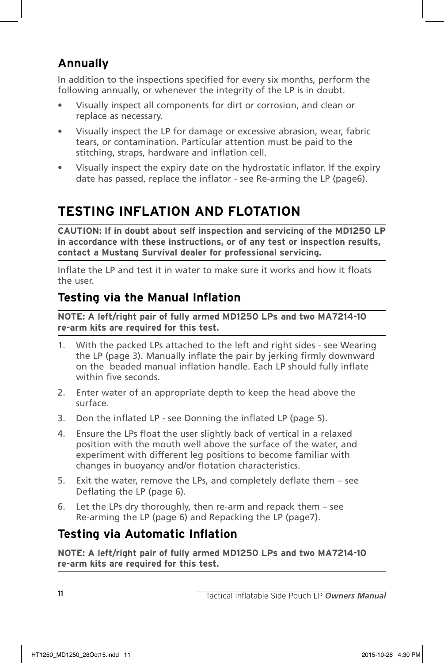#### **Annually**

In addition to the inspections specified for every six months, perform the following annually, or whenever the integrity of the LP is in doubt.

- Visually inspect all components for dirt or corrosion, and clean or replace as necessary.
- Visually inspect the LP for damage or excessive abrasion, wear, fabric tears, or contamination. Particular attention must be paid to the stitching, straps, hardware and inflation cell.
- Visually inspect the expiry date on the hydrostatic inflator. If the expiry date has passed, replace the inflator - see Re-arming the LP (page6).

# **TESTING INFLATION AND FLOTATION**

**CAUTION: If in doubt about self inspection and servicing of the MD1250 LP in accordance with these instructions, or of any test or inspection results, contact a Mustang Survival dealer for professional servicing.**

Inflate the LP and test it in water to make sure it works and how it floats the user.

#### **Testing via the Manual Inflation**

**NOTE: A left/right pair of fully armed MD1250 LPs and two MA7214-10 re-arm kits are required for this test.**

- 1. With the packed LPs attached to the left and right sides see Wearing the LP (page 3). Manually inflate the pair by jerking firmly downward on the beaded manual inflation handle. Each LP should fully inflate within five seconds.
- 2. Enter water of an appropriate depth to keep the head above the surface.
- 3. Don the inflated LP see Donning the inflated LP (page 5).
- 4. Ensure the LPs float the user slightly back of vertical in a relaxed position with the mouth well above the surface of the water, and experiment with different leg positions to become familiar with changes in buoyancy and/or flotation characteristics.
- 5. Exit the water, remove the LPs, and completely deflate them see Deflating the LP (page 6).
- 6. Let the LPs dry thoroughly, then re-arm and repack them see Re-arming the LP (page 6) and Repacking the LP (page7).

#### **Testing via Automatic Inflation**

**NOTE: A left/right pair of fully armed MD1250 LPs and two MA7214-10 re-arm kits are required for this test.**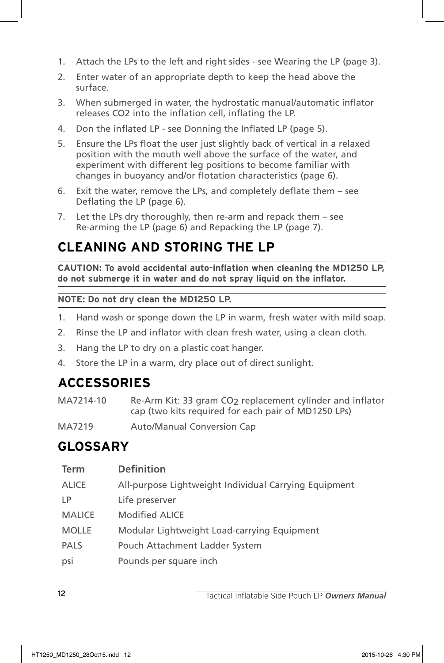- 1. Attach the LPs to the left and right sides see Wearing the LP (page 3).
- 2. Enter water of an appropriate depth to keep the head above the surface.
- 3. When submerged in water, the hydrostatic manual/automatic inflator releases CO2 into the inflation cell, inflating the LP.
- 4. Don the inflated LP see Donning the Inflated LP (page 5).
- 5. Ensure the LPs float the user just slightly back of vertical in a relaxed position with the mouth well above the surface of the water, and experiment with different leg positions to become familiar with changes in buoyancy and/or flotation characteristics (page 6).
- 6. Exit the water, remove the LPs, and completely deflate them see Deflating the LP (page 6).
- 7. Let the LPs dry thoroughly, then re-arm and repack them see Re-arming the LP (page 6) and Repacking the LP (page 7).

#### **CLEANING AND STORING THE LP**

**CAUTION: To avoid accidental auto-inflation when cleaning the MD1250 LP, do not submerge it in water and do not spray liquid on the inflator.**

**NOTE: Do not dry clean the MD1250 LP.**

- 1. Hand wash or sponge down the LP in warm, fresh water with mild soap.
- 2. Rinse the LP and inflator with clean fresh water, using a clean cloth.
- 3. Hang the LP to dry on a plastic coat hanger.
- 4. Store the LP in a warm, dry place out of direct sunlight.

#### **ACCESSORIES**

- MA7214-10 Re-Arm Kit: 33 gram CO2 replacement cylinder and inflator cap (two kits required for each pair of MD1250 LPs)
- MA7219 Auto/Manual Conversion Cap

#### **GLOSSARY**

| <b>Term</b>   | <b>Definition</b>                                     |
|---------------|-------------------------------------------------------|
| <b>ALICE</b>  | All-purpose Lightweight Individual Carrying Equipment |
| LP.           | Life preserver                                        |
| <b>MALICE</b> | Modified ALICE                                        |
| <b>MOLLE</b>  | Modular Lightweight Load-carrying Equipment           |
| <b>PALS</b>   | Pouch Attachment Ladder System                        |
| psi           | Pounds per square inch                                |